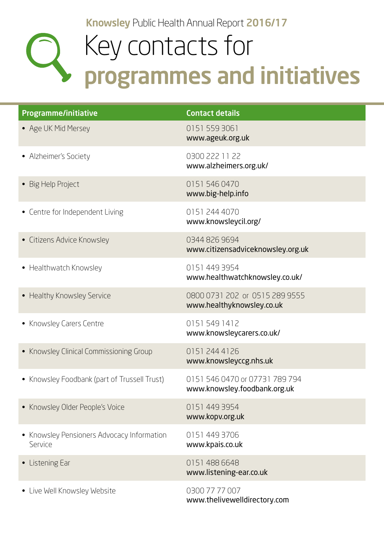Knowsley Public Health Annual Report 2016/17

## Key contacts for programmes and initiatives

| Programme/initiative                                  | <b>Contact details</b>                                         |
|-------------------------------------------------------|----------------------------------------------------------------|
| • Age UK Mid Mersey                                   | 0151 559 3061<br>www.ageuk.org.uk                              |
| • Alzheimer's Society                                 | 0300 222 11 22<br>www.alzheimers.org.uk/                       |
| • Big Help Project                                    | 0151 546 0470<br>www.big-help.info                             |
| • Centre for Independent Living                       | 0151 244 4070<br>www.knowsleycil.org/                          |
| • Citizens Advice Knowsley                            | 0344 826 9694<br>www.citizensadviceknowsley.org.uk             |
| • Healthwatch Knowsley                                | 0151 449 3954<br>www.healthwatchknowsley.co.uk/                |
| • Healthy Knowsley Service                            | 0800 0731 202 or 0515 289 9555<br>www.healthyknowsley.co.uk    |
| • Knowsley Carers Centre                              | 01515491412<br>www.knowsleycarers.co.uk/                       |
| • Knowsley Clinical Commissioning Group               | 0151 244 4126<br>www.knowsleyccg.nhs.uk                        |
| • Knowsley Foodbank (part of Trussell Trust)          | 0151 546 0470 or 07731 789 794<br>www.knowsley.foodbank.org.uk |
| • Knowsley Older People's Voice                       | 0151 449 3954<br>www.kopv.org.uk                               |
| • Knowsley Pensioners Advocacy Information<br>Service | 0151 449 3706<br>www.kpais.co.uk                               |
| • Listening Ear                                       | 01514886648<br>www.listening-ear.co.uk                         |
| • Live Well Knowsley Website                          | 0300 77 77 007<br>www.thelivewelldirectory.com                 |